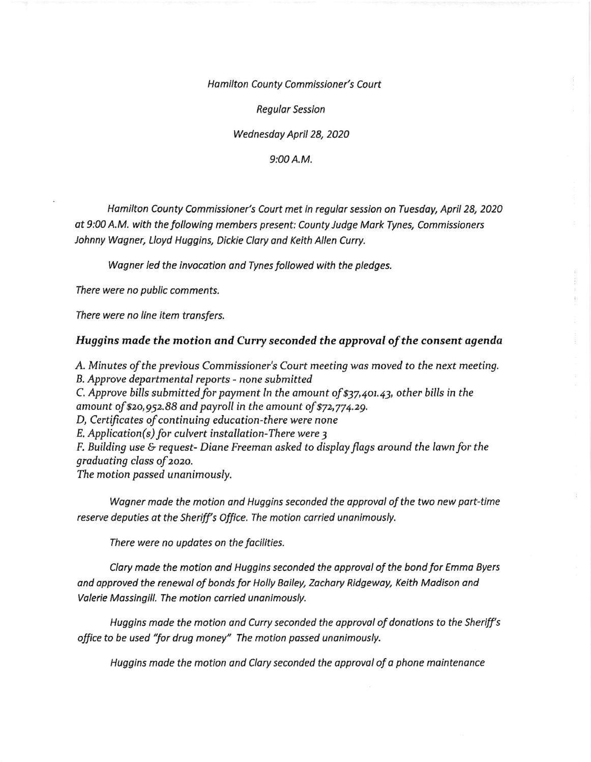Hamilton County Commissioner's Court

Regulor Session

Wednesdoy April 28, 2020

9:00 A.M.

Hamilton County Commissioner's Court met in regular session on Tuesday, April 28, 2020 ot 9:00 A.M. with the following members present: County Judge Mork Tynes, Commissioners Johnny Wogner, Lloyd Huggins, Dickie Clary ond Keith Allen Curry.

Wogner led the invocotion ond Tynes followed with the pledges.

There were no public comments.

There were no line item transfers.

## Huggins made the motion and Curry seconded the approval of the consent agenda

A. Minutes of the previous Commissioner's Court meeting was moved to the next meeting. B. Approve departmental reports - none submitted C. Approve bills submitted for payment ln the amount of \$37,401.43, other bills in the amount of  $$20,952.88$  and payroll in the amount of  $$72,774.29$ . D, Certificates of continuing education-there were none E, Application(s) for culvert installation-There were <sup>3</sup> F. Building use & request- Diane Freeman asked to display flags around the lawn for the graduoting class of zozo. The motion passed unanimously.

Wagner made the motion and Huggins seconded the approval of the two new part-time reserve deputies at the Sheriff's Office. The motion carried unanimously.

There were no updates on the facilities.

Clary made the motion and Huggins seconded the approval of the bond for Emma Byers and approved the renewal of bonds for Holly Bailey, Zachary Ridgeway, Keith Madison and Valerie Massingill. The motion carried unanimously.

Huggins made the motion and Curry seconded the approval of donations to the Sheriff's office to be used "for drug money" The motion passed unanimously.

Huggins made the motion and Clary seconded the approval of a phone maintenance